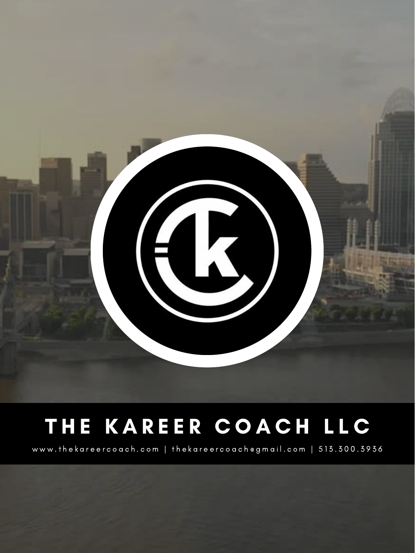

# THE KAREER COACH LLC

www.thekareercoach.com | thekareercoach@gmail.com | 513.300.3936

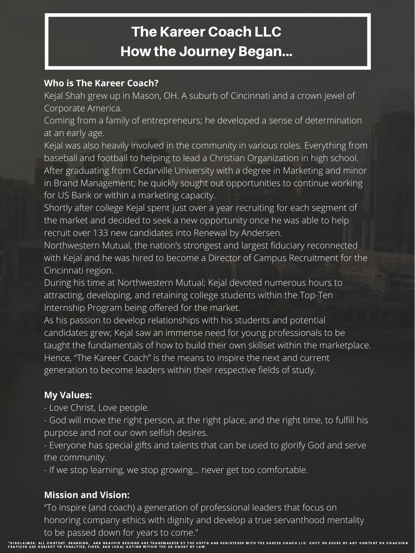#### **Who is The Kareer Coach?**

Kejal Shah grew up in Mason, OH. A suburb of Cincinnati and a crown jewel of Corporate America.

Coming from a family of entrepreneurs; he developed a sense of determination at an early age.

Kejal was also heavily involved in the community in various roles. Everything from baseball and football to helping to lead a Christian Organization in high school. After graduating from Cedarville University with a degree in Marketing and minor in Brand Management; he quickly sought out opportunities to continue working for US Bank or within a marketing capacity.

Shortly after college Kejal spent just over a year recruiting for each segment of the market and decided to seek a new opportunity once he was able to help recruit over 133 new candidates into Renewal by Andersen.

Northwestern Mutual, the nation's strongest and largest fiduciary reconnected with Kejal and he was hired to become a Director of Campus Recruitment for the Cincinnati region.

During his time at Northwestern Mutual; Kejal devoted numerous hours to

attracting, developing, and retaining college students within the Top-Ten Internship Program being offered for the market.

As his passion to develop relationships with his students and potential candidates grew; Kejal saw an immense need for young professionals to be taught the fundamentals of how to build their own skillset within the marketplace. Hence, "The Kareer Coach" is the means to inspire the next and current generation to become leaders within their respective fields of study.

#### **My Values:**

- Love Christ, Love people.

- God will move the right person, at the right place, and the right time, to fulfill his purpose and not our own selfish desires.

- Everyone has special gifts and talents that can be used to glorify God and serve the community.

- If we stop learning, we stop growing... never get too comfortable.

#### **Mission and Vision:**

"To inspire (and coach) a generation of professional leaders that focus on honoring company ethics with dignity and develop a true servanthood mentality to be passed down for years to come."

# The Kareer Coach LLC How the Journey Began...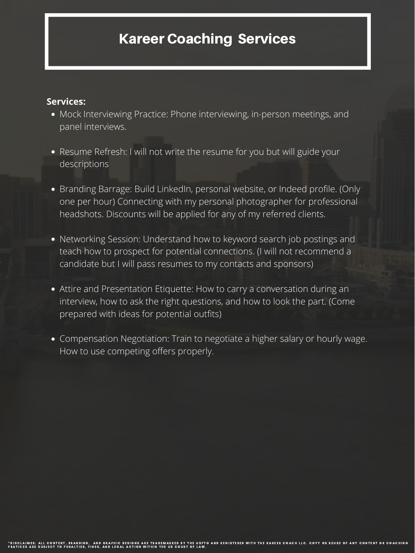- Mock Interviewing Practice: Phone interviewing, in-person meetings, and panel interviews.
- Resume Refresh: I will not write the resume for you but will guide your descriptions
- Branding Barrage: Build LinkedIn, personal website, or Indeed profile. (Only one per hour) Connecting with my personal photographer for professional headshots. Discounts will be applied for any of my referred clients.
- Networking Session: Understand how to keyword search job postings and teach how to prospect for potential connections. (I will not recommend a candidate but I will pass resumes to my contacts and sponsors)
- 
- Attire and Presentation Etiquette: How to carry a conversation during an interview, how to ask the right questions, and how to look the part. (Come prepared with ideas for potential outfits)
- Compensation Negotiation: Train to negotiate a higher salary or hourly wage. How to use competing offers properly.

#### **Services:**

## Kareer Coaching Services